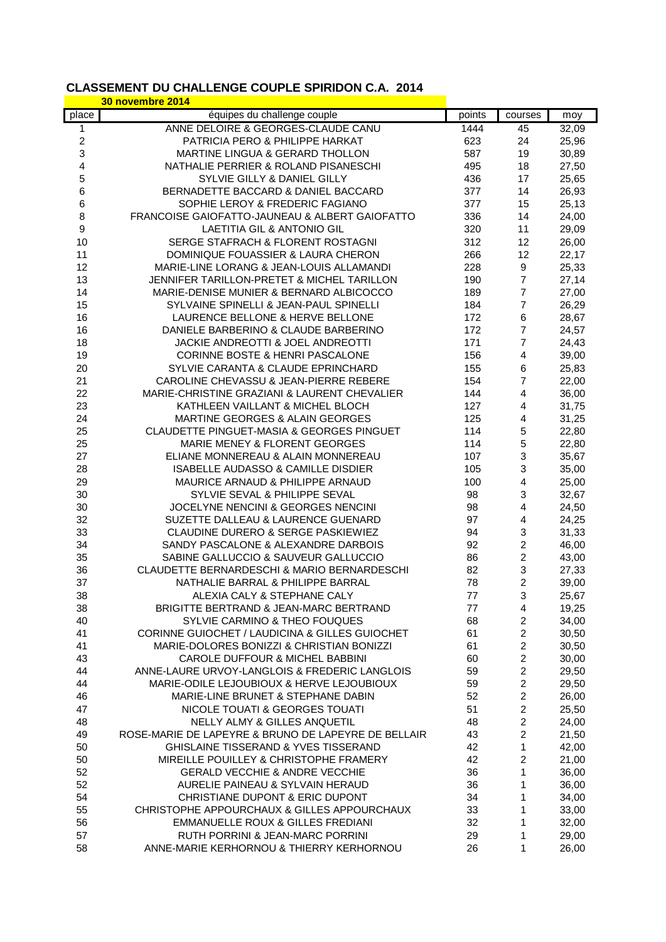## **CLASSEMENT DU CHALLENGE COUPLE SPIRIDON C.A. 2014**

|                         | 30 novembre 2014                                    |        |                         |       |
|-------------------------|-----------------------------------------------------|--------|-------------------------|-------|
| place                   | équipes du challenge couple                         | points | courses                 | moy   |
| 1                       | ANNE DELOIRE & GEORGES-CLAUDE CANU                  | 1444   | 45                      | 32,09 |
| $\overline{\mathbf{c}}$ | PATRICIA PERO & PHILIPPE HARKAT                     | 623    | 24                      | 25,96 |
| 3                       | MARTINE LINGUA & GERARD THOLLON                     | 587    | 19                      | 30,89 |
| 4                       | NATHALIE PERRIER & ROLAND PISANESCHI                | 495    | 18                      | 27,50 |
| 5                       | SYLVIE GILLY & DANIEL GILLY                         | 436    | 17                      | 25,65 |
| 6                       | BERNADETTE BACCARD & DANIEL BACCARD                 | 377    | 14                      | 26,93 |
| 6                       | SOPHIE LEROY & FREDERIC FAGIANO                     | 377    | 15                      | 25,13 |
| 8                       | FRANCOISE GAIOFATTO-JAUNEAU & ALBERT GAIOFATTO      | 336    | 14                      | 24,00 |
| 9                       | <b>LAETITIA GIL &amp; ANTONIO GIL</b>               | 320    | 11                      | 29,09 |
| 10                      | SERGE STAFRACH & FLORENT ROSTAGNI                   | 312    | 12                      | 26,00 |
| 11                      | DOMINIQUE FOUASSIER & LAURA CHERON                  | 266    | 12                      | 22,17 |
| 12                      | MARIE-LINE LORANG & JEAN-LOUIS ALLAMANDI            | 228    | 9                       | 25,33 |
| 13                      | JENNIFER TARILLON-PRETET & MICHEL TARILLON          | 190    | $\overline{7}$          | 27,14 |
| 14                      | MARIE-DENISE MUNIER & BERNARD ALBICOCCO             | 189    | 7                       | 27,00 |
| 15                      | SYLVAINE SPINELLI & JEAN-PAUL SPINELLI              | 184    | $\overline{7}$          | 26,29 |
| 16                      | LAURENCE BELLONE & HERVE BELLONE                    | 172    | 6                       | 28,67 |
| 16                      | DANIELE BARBERINO & CLAUDE BARBERINO                | 172    | 7                       | 24,57 |
| 18                      | JACKIE ANDREOTTI & JOEL ANDREOTTI                   | 171    | $\overline{7}$          | 24,43 |
| 19                      | CORINNE BOSTE & HENRI PASCALONE                     | 156    | 4                       | 39,00 |
| 20                      | SYLVIE CARANTA & CLAUDE EPRINCHARD                  | 155    | 6                       | 25,83 |
| 21                      | CAROLINE CHEVASSU & JEAN-PIERRE REBERE              | 154    | 7                       | 22,00 |
| 22                      | MARIE-CHRISTINE GRAZIANI & LAURENT CHEVALIER        | 144    | 4                       | 36,00 |
| 23                      | KATHLEEN VAILLANT & MICHEL BLOCH                    | 127    | $\overline{\mathbf{4}}$ | 31,75 |
| 24                      | MARTINE GEORGES & ALAIN GEORGES                     | 125    | 4                       | 31,25 |
| 25                      | CLAUDETTE PINGUET-MASIA & GEORGES PINGUET           | 114    | 5                       | 22,80 |
| 25                      | MARIE MENEY & FLORENT GEORGES                       | 114    | 5                       | 22,80 |
| 27                      | ELIANE MONNEREAU & ALAIN MONNEREAU                  | 107    | 3                       | 35,67 |
| 28                      | <b>ISABELLE AUDASSO &amp; CAMILLE DISDIER</b>       | 105    | 3                       | 35,00 |
| 29                      | MAURICE ARNAUD & PHILIPPE ARNAUD                    | 100    | $\overline{\mathbf{4}}$ | 25,00 |
| 30                      | SYLVIE SEVAL & PHILIPPE SEVAL                       | 98     | 3                       | 32,67 |
| 30                      | JOCELYNE NENCINI & GEORGES NENCINI                  | 98     | $\overline{\mathbf{4}}$ | 24,50 |
| 32                      | SUZETTE DALLEAU & LAURENCE GUENARD                  | 97     | $\overline{\mathbf{4}}$ | 24,25 |
| 33                      | CLAUDINE DURERO & SERGE PASKIEWIEZ                  | 94     | 3                       | 31,33 |
| 34                      | SANDY PASCALONE & ALEXANDRE DARBOIS                 | 92     | $\overline{c}$          | 46,00 |
| 35                      | SABINE GALLUCCIO & SAUVEUR GALLUCCIO                | 86     | $\overline{c}$          | 43,00 |
| 36                      | CLAUDETTE BERNARDESCHI & MARIO BERNARDESCHI         | 82     | 3                       | 27,33 |
| 37                      | NATHALIE BARRAL & PHILIPPE BARRAL                   | 78     | $\overline{c}$          | 39,00 |
| 38                      | ALEXIA CALY & STEPHANE CALY                         | 77     | 3                       | 25,67 |
| 38                      | BRIGITTE BERTRAND & JEAN-MARC BERTRAND              | 77     | 4                       | 19,25 |
| 40                      | SYLVIE CARMINO & THEO FOUQUES                       | 68     | $\overline{2}$          | 34,00 |
| 41                      | CORINNE GUIOCHET / LAUDICINA & GILLES GUIOCHET      | 61     | $\overline{c}$          | 30,50 |
| 41                      | MARIE-DOLORES BONIZZI & CHRISTIAN BONIZZI           | 61     | $\overline{c}$          | 30,50 |
| 43                      | <b>CAROLE DUFFOUR &amp; MICHEL BABBINI</b>          | 60     | $\overline{c}$          | 30,00 |
| 44                      | ANNE-LAURE URVOY-LANGLOIS & FREDERIC LANGLOIS       | 59     | $\overline{c}$          | 29,50 |
| 44                      | MARIE-ODILE LEJOUBIOUX & HERVE LEJOUBIOUX           | 59     | $\overline{c}$          | 29,50 |
| 46                      | MARIE-LINE BRUNET & STEPHANE DABIN                  | 52     | $\overline{c}$          | 26,00 |
| 47                      | NICOLE TOUATI & GEORGES TOUATI                      | 51     | $\overline{c}$          | 25,50 |
| 48                      | NELLY ALMY & GILLES ANQUETIL                        | 48     | $\overline{c}$          | 24,00 |
| 49                      | ROSE-MARIE DE LAPEYRE & BRUNO DE LAPEYRE DE BELLAIR | 43     | $\overline{c}$          | 21,50 |
| 50                      | <b>GHISLAINE TISSERAND &amp; YVES TISSERAND</b>     | 42     | 1                       | 42,00 |
| 50                      | MIREILLE POUILLEY & CHRISTOPHE FRAMERY              | 42     | $\boldsymbol{2}$        | 21,00 |
| 52                      | <b>GERALD VECCHIE &amp; ANDRE VECCHIE</b>           | 36     | 1                       | 36,00 |
| 52                      | AURELIE PAINEAU & SYLVAIN HERAUD                    | 36     | 1                       | 36,00 |
| 54                      | CHRISTIANE DUPONT & ERIC DUPONT                     | 34     | 1                       | 34,00 |
| 55                      | CHRISTOPHE APPOURCHAUX & GILLES APPOURCHAUX         | 33     | 1                       | 33,00 |
| 56                      | EMMANUELLE ROUX & GILLES FREDIANI                   | 32     | 1                       | 32,00 |
| 57                      | <b>RUTH PORRINI &amp; JEAN-MARC PORRINI</b>         | 29     | 1                       | 29,00 |
| 58                      | ANNE-MARIE KERHORNOU & THIERRY KERHORNOU            | 26     | 1                       | 26,00 |